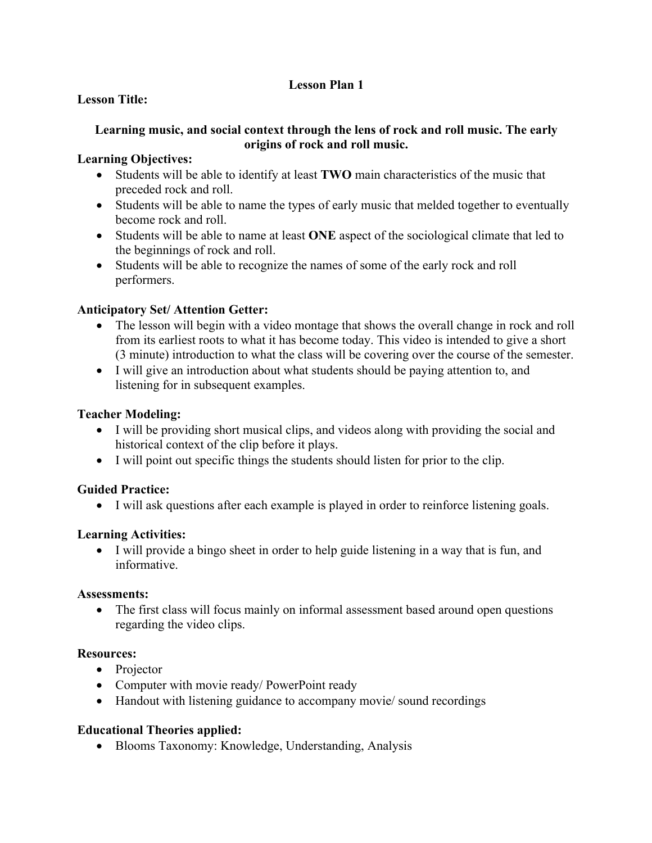## **Lesson Plan 1**

## **Lesson Title:**

#### **Learning music, and social context through the lens of rock and roll music. The early origins of rock and roll music.**

#### **Learning Objectives:**

- Students will be able to identify at least **TWO** main characteristics of the music that preceded rock and roll.
- Students will be able to name the types of early music that melded together to eventually become rock and roll.
- Students will be able to name at least **ONE** aspect of the sociological climate that led to the beginnings of rock and roll.
- Students will be able to recognize the names of some of the early rock and roll performers.

# **Anticipatory Set/ Attention Getter:**

- The lesson will begin with a video montage that shows the overall change in rock and roll from its earliest roots to what it has become today. This video is intended to give a short (3 minute) introduction to what the class will be covering over the course of the semester.
- I will give an introduction about what students should be paying attention to, and listening for in subsequent examples.

### **Teacher Modeling:**

- I will be providing short musical clips, and videos along with providing the social and historical context of the clip before it plays.
- I will point out specific things the students should listen for prior to the clip.

### **Guided Practice:**

• I will ask questions after each example is played in order to reinforce listening goals.

### **Learning Activities:**

• I will provide a bingo sheet in order to help guide listening in a way that is fun, and informative.

### **Assessments:**

• The first class will focus mainly on informal assessment based around open questions regarding the video clips.

### **Resources:**

- Projector
- Computer with movie ready/ PowerPoint ready
- Handout with listening guidance to accompany movie/ sound recordings

### **Educational Theories applied:**

• Blooms Taxonomy: Knowledge, Understanding, Analysis